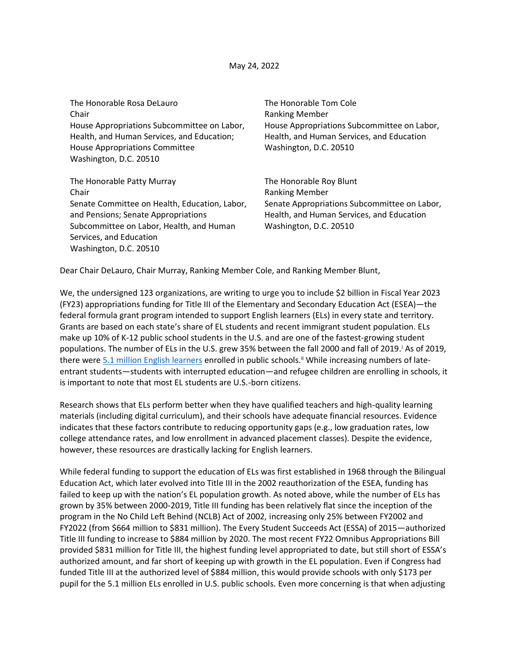### May 24, 2022

| The Honorable Rosa DeLauro                    | The Honorable Tom Cole                       |
|-----------------------------------------------|----------------------------------------------|
| Chair                                         | <b>Ranking Member</b>                        |
| House Appropriations Subcommittee on Labor,   | House Appropriations Subcommittee on Labor,  |
| Health, and Human Services, and Education;    | Health, and Human Services, and Education    |
| <b>House Appropriations Committee</b>         | Washington, D.C. 20510                       |
| Washington, D.C. 20510                        |                                              |
|                                               |                                              |
| The Honorable Patty Murray                    | The Honorable Roy Blunt                      |
| Chair                                         | <b>Ranking Member</b>                        |
| Senate Committee on Health, Education, Labor, | Senate Appropriations Subcommittee on Labor, |
| and Pensions; Senate Appropriations           | Health, and Human Services, and Education    |
| Subcommittee on Labor, Health, and Human      | Washington, D.C. 20510                       |
| Services, and Education                       |                                              |
| Washington, D.C. 20510                        |                                              |

Dear Chair DeLauro, Chair Murray, Ranking Member Cole, and Ranking Member Blunt,

We, the undersigned 123 organizations, are writing to urge you to include \$2 billion in Fiscal Year 2023 (FY23) appropriations funding for Title III of the Elementary and Secondary Education Act (ESEA)—the federal formula grant program intended to support English learners (ELs) in every state and territory. Grants are based on each state's share of EL students and recent immigrant student population. ELs make up 10% of K-12 public school students in the U.S. and are one of the fastest-growing student populations. The number of ELs in the U.S. grew 35% between the fall 2000 and fall of 2019. As of 2019, there were [5.1 million English learners](https://nces.ed.gov/programs/digest/d21/tables/dt21_204.20.asp) enrolled in public schools.<sup>ii</sup> While increasing numbers of lateentrant students—students with interrupted education—and refugee children are enrolling in schools, it is important to note that most EL students are U.S.-born citizens.

Research shows that ELs perform better when they have qualified teachers and high-quality learning materials (including digital curriculum), and their schools have adequate financial resources. Evidence indicates that these factors contribute to reducing opportunity gaps (e.g., low graduation rates, low college attendance rates, and low enrollment in advanced placement classes). Despite the evidence, however, these resources are drastically lacking for English learners.

While federal funding to support the education of ELs was first established in 1968 through the Bilingual Education Act, which later evolved into Title III in the 2002 reauthorization of the ESEA, funding has failed to keep up with the nation's EL population growth. As noted above, while the number of ELs has grown by 35% between 2000-2019, Title III funding has been relatively flat since the inception of the program in the No Child Left Behind (NCLB) Act of 2002, increasing only 25% between FY2002 and FY2022 (from \$664 million to \$831 million). The Every Student Succeeds Act (ESSA) of 2015—authorized Title III funding to increase to \$884 million by 2020. The most recent FY22 Omnibus Appropriations Bill provided \$831 million for Title III, the highest funding level appropriated to date, but still short of ESSA's authorized amount, and far short of keeping up with growth in the EL population. Even if Congress had funded Title III at the authorized level of \$884 million, this would provide schools with only \$173 per pupil for the 5.1 million ELs enrolled in U.S. public schools. Even more concerning is that when adjusting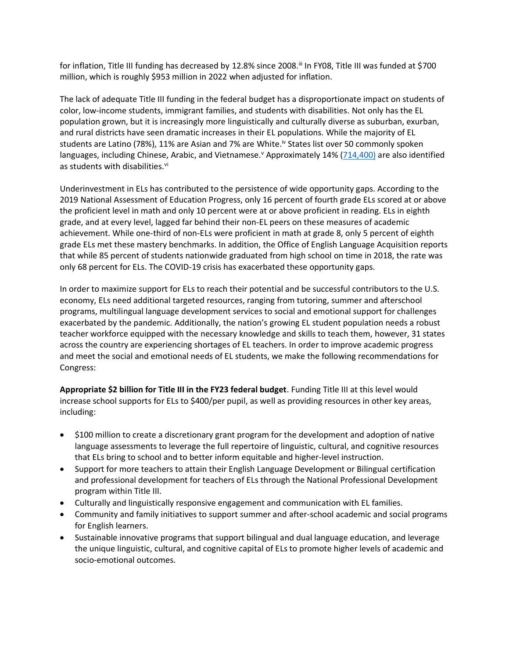for inflation, Title III funding has decreased by 12.8% since 2008.<sup>ii</sup> In FY08, Title III was funded at \$700 million, which is roughly \$953 million in 2022 when adjusted for inflation.

The lack of adequate Title III funding in the federal budget has a disproportionate impact on students of color, low-income students, immigrant families, and students with disabilities. Not only has the EL population grown, but it is increasingly more linguistically and culturally diverse as suburban, exurban, and rural districts have seen dramatic increases in their EL populations. While the majority of EL students are Latino (78%), 11% are Asian and 7% are White.<sup>iv</sup> States list over 50 commonly spoken languages, including Chinese, Arabic, and Vietnamese.<sup>v</sup> Approximately 14% [\(714,400\)](https://ncela.ed.gov/files/fast_facts/20201216-Del4.4-ELsDisabilities-508-OELA.pdf) are also identified as students with disabilities.<sup>vi</sup>

Underinvestment in ELs has contributed to the persistence of wide opportunity gaps. According to the 2019 National Assessment of Education Progress, only 16 percent of fourth grade ELs scored at or above the proficient level in math and only 10 percent were at or above proficient in reading. ELs in eighth grade, and at every level, lagged far behind their non-EL peers on these measures of academic achievement. While one-third of non-ELs were proficient in math at grade 8, only 5 percent of eighth grade ELs met these mastery benchmarks. In addition, the Office of English Language Acquisition reports that while 85 percent of students nationwide graduated from high school on time in 2018, the rate was only 68 percent for ELs. The COVID-19 crisis has exacerbated these opportunity gaps.

In order to maximize support for ELs to reach their potential and be successful contributors to the U.S. economy, ELs need additional targeted resources, ranging from tutoring, summer and afterschool programs, multilingual language development services to social and emotional support for challenges exacerbated by the pandemic. Additionally, the nation's growing EL student population needs a robust teacher workforce equipped with the necessary knowledge and skills to teach them, however, 31 states across the country are experiencing shortages of EL teachers. In order to improve academic progress and meet the social and emotional needs of EL students, we make the following recommendations for Congress:

**Appropriate \$2 billion for Title III in the FY23 federal budget**. Funding Title III at this level would increase school supports for ELs to \$400/per pupil, as well as providing resources in other key areas, including:

- \$100 million to create a discretionary grant program for the development and adoption of native language assessments to leverage the full repertoire of linguistic, cultural, and cognitive resources that ELs bring to school and to better inform equitable and higher-level instruction.
- Support for more teachers to attain their English Language Development or Bilingual certification and professional development for teachers of ELs through the National Professional Development program within Title III.
- Culturally and linguistically responsive engagement and communication with EL families.
- Community and family initiatives to support summer and after-school academic and social programs for English learners.
- Sustainable innovative programs that support bilingual and dual language education, and leverage the unique linguistic, cultural, and cognitive capital of ELs to promote higher levels of academic and socio-emotional outcomes.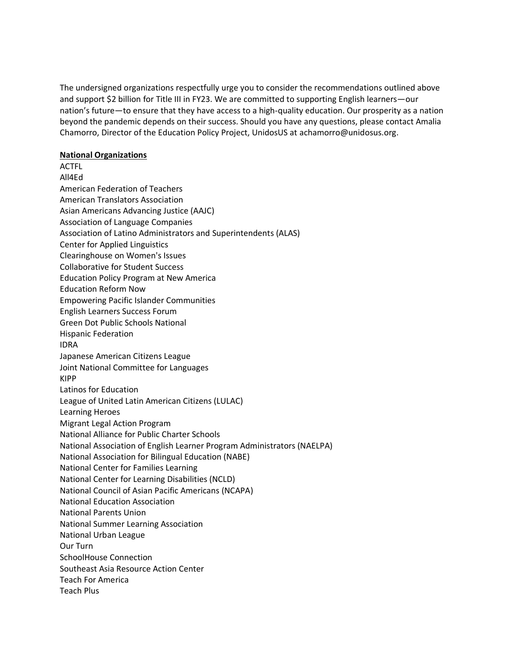The undersigned organizations respectfully urge you to consider the recommendations outlined above and support \$2 billion for Title III in FY23. We are committed to supporting English learners—our nation's future—to ensure that they have access to a high-quality education. Our prosperity as a nation beyond the pandemic depends on their success. Should you have any questions, please contact Amalia Chamorro, Director of the Education Policy Project, UnidosUS at achamorro@unidosus.org.

## **National Organizations**

**ACTFL** All4Ed American Federation of Teachers American Translators Association Asian Americans Advancing Justice (AAJC) Association of Language Companies Association of Latino Administrators and Superintendents (ALAS) Center for Applied Linguistics Clearinghouse on Women's Issues Collaborative for Student Success Education Policy Program at New America Education Reform Now Empowering Pacific Islander Communities English Learners Success Forum Green Dot Public Schools National Hispanic Federation IDRA Japanese American Citizens League Joint National Committee for Languages KIPP Latinos for Education League of United Latin American Citizens (LULAC) Learning Heroes Migrant Legal Action Program National Alliance for Public Charter Schools National Association of English Learner Program Administrators (NAELPA) National Association for Bilingual Education (NABE) National Center for Families Learning National Center for Learning Disabilities (NCLD) National Council of Asian Pacific Americans (NCAPA) National Education Association National Parents Union National Summer Learning Association National Urban League Our Turn SchoolHouse Connection Southeast Asia Resource Action Center Teach For America Teach Plus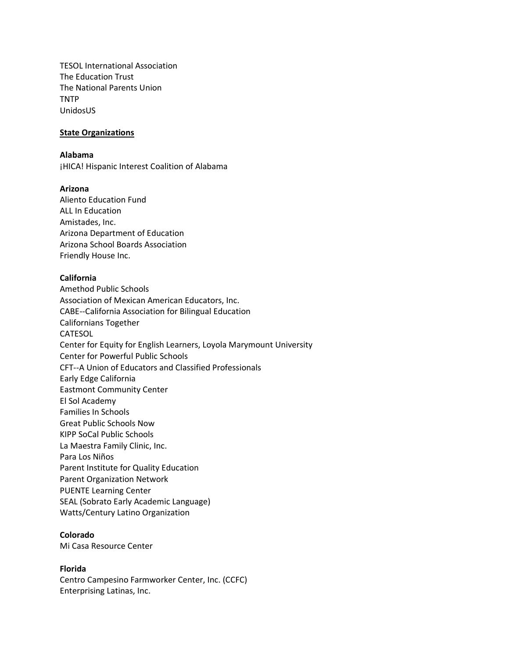TESOL International Association The Education Trust The National Parents Union TNTP UnidosUS

## **State Organizations**

### **Alabama**

¡HICA! Hispanic Interest Coalition of Alabama

## **Arizona**

Aliento Education Fund ALL In Education Amistades, Inc. Arizona Department of Education Arizona School Boards Association Friendly House Inc.

## **California**

Amethod Public Schools Association of Mexican American Educators, Inc. CABE--California Association for Bilingual Education Californians Together CATESOL Center for Equity for English Learners, Loyola Marymount University Center for Powerful Public Schools CFT--A Union of Educators and Classified Professionals Early Edge California Eastmont Community Center El Sol Academy Families In Schools Great Public Schools Now KIPP SoCal Public Schools La Maestra Family Clinic, Inc. Para Los Niños Parent Institute for Quality Education Parent Organization Network PUENTE Learning Center SEAL (Sobrato Early Academic Language) Watts/Century Latino Organization

# **Colorado**

Mi Casa Resource Center

### **Florida**

Centro Campesino Farmworker Center, Inc. (CCFC) Enterprising Latinas, Inc.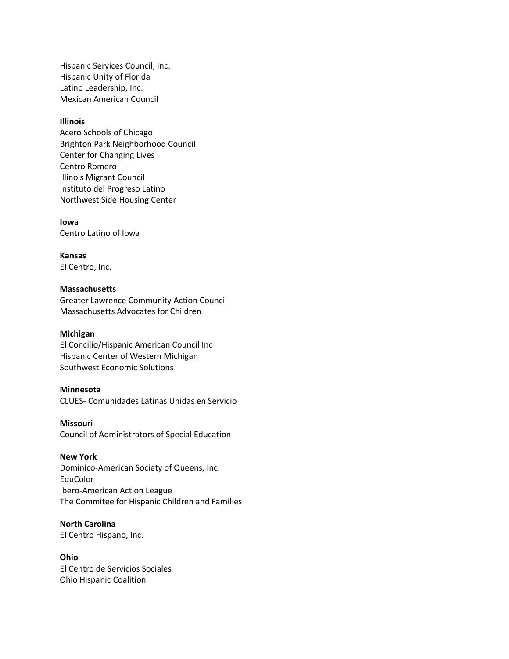Hispanic Services Council, Inc. Hispanic Unity of Florida Latino Leadership, Inc. Mexican American Council

#### **Illinois**

Acero Schools of Chicago Brighton Park Neighborhood Council Center for Changing Lives Centro Romero Illinois Migrant Council Instituto del Progreso Latino Northwest Side Housing Center

**Iowa** Centro Latino of Iowa

**Kansas** El Centro, Inc.

## **Massachusetts**

Greater Lawrence Community Action Council Massachusetts Advocates for Children

#### **Michigan**

El Concilio/Hispanic American Council Inc Hispanic Center of Western Michigan Southwest Economic Solutions

#### **Minnesota**

CLUES- Comunidades Latinas Unidas en Servicio

#### **Missouri**

Council of Administrators of Special Education

### **New York**

Dominico-American Society of Queens, Inc. EduColor Ibero-American Action League The Commitee for Hispanic Children and Families

### **North Carolina**

El Centro Hispano, Inc.

#### **Ohio**

El Centro de Servicios Sociales Ohio Hispanic Coalition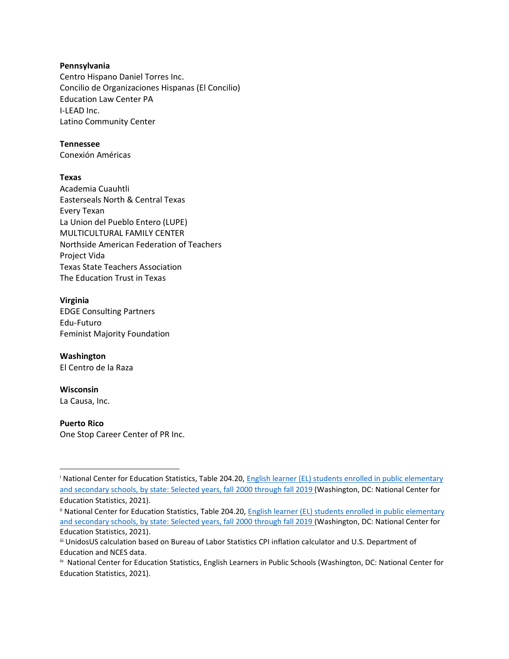## **Pennsylvania**

Centro Hispano Daniel Torres Inc. Concilio de Organizaciones Hispanas (El Concilio) Education Law Center PA I-LEAD Inc. Latino Community Center

## **Tennessee**

Conexión Américas

## **Texas**

Academia Cuauhtli Easterseals North & Central Texas Every Texan La Union del Pueblo Entero (LUPE) MULTICULTURAL FAMILY CENTER Northside American Federation of Teachers Project Vida Texas State Teachers Association The Education Trust in Texas

## **Virginia**

EDGE Consulting Partners Edu-Futuro Feminist Majority Foundation

# **Washington**

El Centro de la Raza

## **Wisconsin**

La Causa, Inc.

### **Puerto Rico**

One Stop Career Center of PR Inc.

<sup>i</sup> National Center for Education Statistics, Table 204.20, [English learner \(EL\) students enrolled in public elementary](https://nces.ed.gov/programs/digest/d21/tables/dt21_204.20.asp)  [and secondary schools, by state: Selected years, fall 2000 through fall 2019](https://nces.ed.gov/programs/digest/d21/tables/dt21_204.20.asp) (Washington, DC: National Center for Education Statistics, 2021).

ii National Center for Education Statistics, Table 204.20, English learner (EL) students enrolled in public elementary [and secondary schools, by state: Selected years, fall 2000 through fall 2019](https://nces.ed.gov/programs/digest/d21/tables/dt21_204.20.asp) (Washington, DC: National Center for Education Statistics, 2021).

iii UnidosUS calculation based on Bureau of Labor Statistics CPI inflation calculator and U.S. Department of Education and NCES data.

iv National Center for Education Statistics, English Learners in Public Schools (Washington, DC: National Center for Education Statistics, 2021).